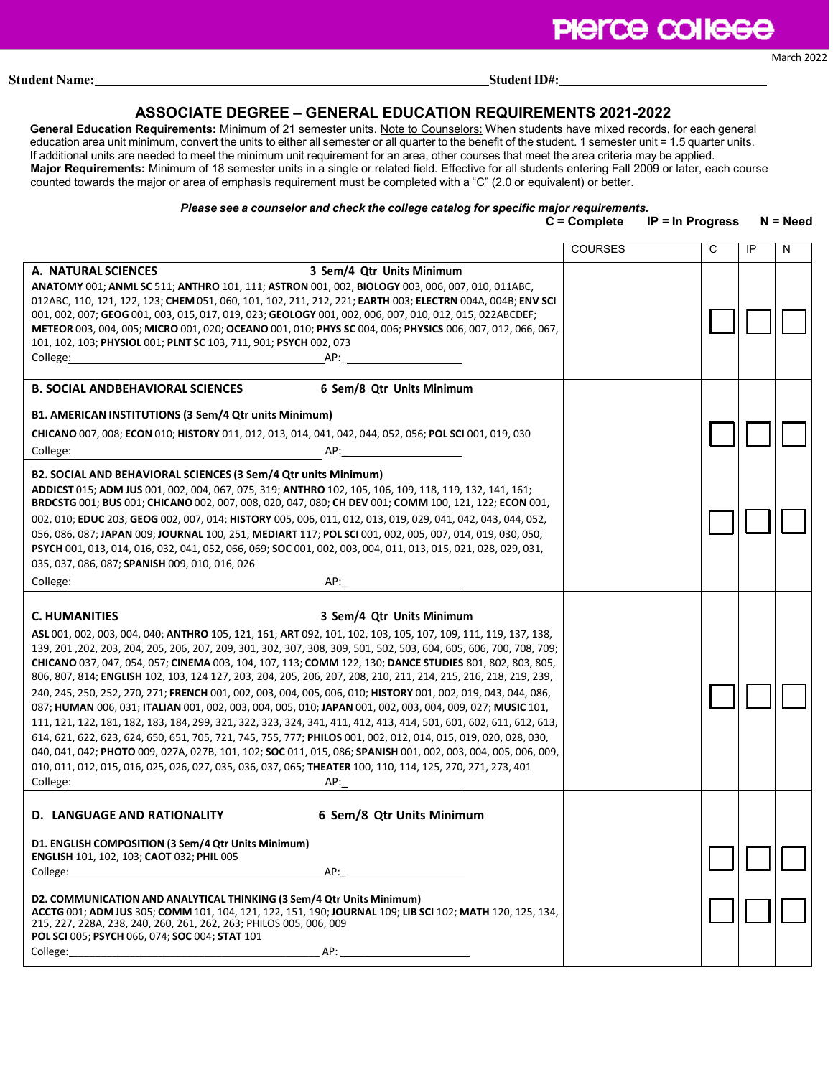# **PIerce college**

**Student Name:** Student ID#:

# **ASSOCIATE DEGREE – GENERAL EDUCATION REQUIREMENTS 2021-2022**

**General Education Requirements:** Minimum of 21 semester units. Note to Counselors: When students have mixed records, for each general education area unit minimum, convert the units to either all semester or all quarter to the benefit of the student. 1 semester unit = 1.5 quarter units. If additional units are needed to meet the minimum unit requirement for an area, other courses that meet the area criteria may be applied. **Major Requirements:** Minimum of 18 semester units in a single or related field. Effective for all students entering Fall 2009 or later, each course counted towards the major or area of emphasis requirement must be completed with a "C" (2.0 or equivalent) or better.

# *Please see a counselor and check the college catalog for specific major requirements.*

#### **C = Complete IP = In Progress N = Need**

|                                                                                                                                                                                                                                                                                                                                                                                                                                                                                                                                                                                                                                                                                                                                                                                                                                                                                                                                                                                                                                                                                                                                                                                                                                                 | <b>COURSES</b> | C | IP | N |
|-------------------------------------------------------------------------------------------------------------------------------------------------------------------------------------------------------------------------------------------------------------------------------------------------------------------------------------------------------------------------------------------------------------------------------------------------------------------------------------------------------------------------------------------------------------------------------------------------------------------------------------------------------------------------------------------------------------------------------------------------------------------------------------------------------------------------------------------------------------------------------------------------------------------------------------------------------------------------------------------------------------------------------------------------------------------------------------------------------------------------------------------------------------------------------------------------------------------------------------------------|----------------|---|----|---|
| 3 Sem/4 Qtr Units Minimum<br>A. NATURAL SCIENCES                                                                                                                                                                                                                                                                                                                                                                                                                                                                                                                                                                                                                                                                                                                                                                                                                                                                                                                                                                                                                                                                                                                                                                                                |                |   |    |   |
| ANATOMY 001; ANML SC 511; ANTHRO 101, 111; ASTRON 001, 002, BIOLOGY 003, 006, 007, 010, 011ABC,<br>012ABC, 110, 121, 122, 123; CHEM 051, 060, 101, 102, 211, 212, 221; EARTH 003; ELECTRN 004A, 004B; ENV SCI<br>001, 002, 007; GEOG 001, 003, 015, 017, 019, 023; GEOLOGY 001, 002, 006, 007, 010, 012, 015, 022ABCDEF;<br>METEOR 003, 004, 005; MICRO 001, 020; OCEANO 001, 010; PHYS SC 004, 006; PHYSICS 006, 007, 012, 066, 067,<br>101, 102, 103; PHYSIOL 001; PLNT SC 103, 711, 901; PSYCH 002, 073<br>College:<br>AP:                                                                                                                                                                                                                                                                                                                                                                                                                                                                                                                                                                                                                                                                                                                   |                |   |    |   |
| 6 Sem/8 Qtr Units Minimum<br><b>B. SOCIAL ANDBEHAVIORAL SCIENCES</b>                                                                                                                                                                                                                                                                                                                                                                                                                                                                                                                                                                                                                                                                                                                                                                                                                                                                                                                                                                                                                                                                                                                                                                            |                |   |    |   |
| B1. AMERICAN INSTITUTIONS (3 Sem/4 Qtr units Minimum)<br>CHICANO 007, 008; ECON 010; HISTORY 011, 012, 013, 014, 041, 042, 044, 052, 056; POL SCI 001, 019, 030<br>College:<br>AP:                                                                                                                                                                                                                                                                                                                                                                                                                                                                                                                                                                                                                                                                                                                                                                                                                                                                                                                                                                                                                                                              |                |   |    |   |
| B2. SOCIAL AND BEHAVIORAL SCIENCES (3 Sem/4 Qtr units Minimum)<br>ADDICST 015; ADM JUS 001, 002, 004, 067, 075, 319; ANTHRO 102, 105, 106, 109, 118, 119, 132, 141, 161;<br>BRDCSTG 001; BUS 001; CHICANO 002, 007, 008, 020, 047, 080; CH DEV 001; COMM 100, 121, 122; ECON 001,<br>002, 010; EDUC 203; GEOG 002, 007, 014; HISTORY 005, 006, 011, 012, 013, 019, 029, 041, 042, 043, 044, 052,<br>056, 086, 087; JAPAN 009; JOURNAL 100, 251; MEDIART 117; POL SCI 001, 002, 005, 007, 014, 019, 030, 050;<br>PSYCH 001, 013, 014, 016, 032, 041, 052, 066, 069; SOC 001, 002, 003, 004, 011, 013, 015, 021, 028, 029, 031,<br>035, 037, 086, 087; SPANISH 009, 010, 016, 026<br>College:<br>AP:                                                                                                                                                                                                                                                                                                                                                                                                                                                                                                                                              |                |   |    |   |
|                                                                                                                                                                                                                                                                                                                                                                                                                                                                                                                                                                                                                                                                                                                                                                                                                                                                                                                                                                                                                                                                                                                                                                                                                                                 |                |   |    |   |
| 3 Sem/4 Qtr Units Minimum<br><b>C. HUMANITIES</b><br>ASL 001, 002, 003, 004, 040; ANTHRO 105, 121, 161; ART 092, 101, 102, 103, 105, 107, 109, 111, 119, 137, 138,<br>139, 201, 202, 203, 204, 205, 206, 207, 209, 301, 302, 307, 308, 309, 501, 502, 503, 604, 605, 606, 700, 708, 709;<br>CHICANO 037, 047, 054, 057; CINEMA 003, 104, 107, 113; COMM 122, 130; DANCE STUDIES 801, 802, 803, 805,<br>806, 807, 814; ENGLISH 102, 103, 124 127, 203, 204, 205, 206, 207, 208, 210, 211, 214, 215, 216, 218, 219, 239,<br>240, 245, 250, 252, 270, 271; FRENCH 001, 002, 003, 004, 005, 006, 010; HISTORY 001, 002, 019, 043, 044, 086,<br>087; HUMAN 006, 031; ITALIAN 001, 002, 003, 004, 005, 010; JAPAN 001, 002, 003, 004, 009, 027; MUSIC 101,<br>111, 121, 122, 181, 182, 183, 184, 299, 321, 322, 323, 324, 341, 411, 412, 413, 414, 501, 601, 602, 611, 612, 613,<br>614, 621, 622, 623, 624, 650, 651, 705, 721, 745, 755, 777; PHILOS 001, 002, 012, 014, 015, 019, 020, 028, 030,<br>040, 041, 042; PHOTO 009, 027A, 027B, 101, 102; SOC 011, 015, 086; SPANISH 001, 002, 003, 004, 005, 006, 009,<br>010, 011, 012, 015, 016, 025, 026, 027, 035, 036, 037, 065; THEATER 100, 110, 114, 125, 270, 271, 273, 401<br>College:<br>AP: |                |   |    |   |
|                                                                                                                                                                                                                                                                                                                                                                                                                                                                                                                                                                                                                                                                                                                                                                                                                                                                                                                                                                                                                                                                                                                                                                                                                                                 |                |   |    |   |
| 6 Sem/8 Qtr Units Minimum<br><b>D. LANGUAGE AND RATIONALITY</b><br>D1. ENGLISH COMPOSITION (3 Sem/4 Qtr Units Minimum)<br>ENGLISH 101, 102, 103; CAOT 032; PHIL 005<br>College:<br>AP:<br>D2. COMMUNICATION AND ANALYTICAL THINKING (3 Sem/4 Qtr Units Minimum)<br>ACCTG 001; ADM JUS 305; COMM 101, 104, 121, 122, 151, 190; JOURNAL 109; LIB SCI 102; MATH 120, 125, 134,<br>215, 227, 228A, 238, 240, 260, 261, 262, 263; PHILOS 005, 006, 009<br>POL SCI 005; PSYCH 066, 074; SOC 004; STAT 101<br>College: the collection of the collection of the collection of the collection of the collection of the collection of the collection of the collection of the collection of the collection of the collection of the collection<br>AP:                                                                                                                                                                                                                                                                                                                                                                                                                                                                                                     |                |   |    |   |

March 2022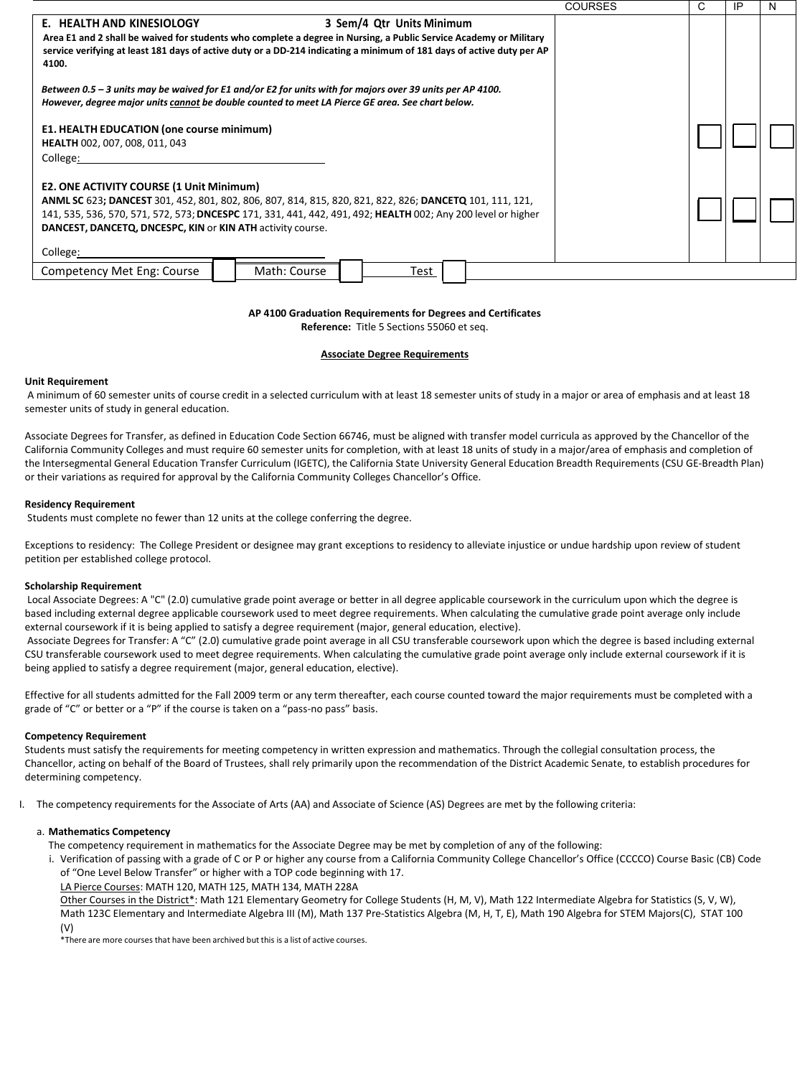|                                                                                                                                | <b>COURSES</b> | C | IP | N |
|--------------------------------------------------------------------------------------------------------------------------------|----------------|---|----|---|
| 3 Sem/4 Qtr Units Minimum<br>E. HEALTH AND KINESIOLOGY                                                                         |                |   |    |   |
| Area E1 and 2 shall be waived for students who complete a degree in Nursing, a Public Service Academy or Military              |                |   |    |   |
| service verifying at least 181 days of active duty or a DD-214 indicating a minimum of 181 days of active duty per AP<br>4100. |                |   |    |   |
| Between 0.5 - 3 units may be waived for E1 and/or E2 for units with for majors over 39 units per AP 4100.                      |                |   |    |   |
| However, degree major units cannot be double counted to meet LA Pierce GE area. See chart below.                               |                |   |    |   |
|                                                                                                                                |                |   |    |   |
| E1. HEALTH EDUCATION (one course minimum)<br><b>HEALTH 002, 007, 008, 011, 043</b>                                             |                |   |    |   |
| College:                                                                                                                       |                |   |    |   |
|                                                                                                                                |                |   |    |   |
| <b>E2. ONE ACTIVITY COURSE (1 Unit Minimum)</b>                                                                                |                |   |    |   |
| ANML SC 623; DANCEST 301, 452, 801, 802, 806, 807, 814, 815, 820, 821, 822, 826; DANCETQ 101, 111, 121,                        |                |   |    |   |
| 141, 535, 536, 570, 571, 572, 573; DNCESPC 171, 331, 441, 442, 491, 492; HEALTH 002; Any 200 level or higher                   |                |   |    |   |
| DANCEST, DANCETQ, DNCESPC, KIN or KIN ATH activity course.                                                                     |                |   |    |   |
| College:                                                                                                                       |                |   |    |   |
| Competency Met Eng: Course<br>Math: Course<br>Test                                                                             |                |   |    |   |

# **AP 4100 Graduation Requirements for Degrees and Certificates**

**Reference:** Title 5 Sections 55060 et seq.

# **Associate Degree Requirements**

# **Unit Requirement**

A minimum of 60 semester units of course credit in a selected curriculum with at least 18 semester units of study in a major or area of emphasis and at least 18 semester units of study in general education.

Associate Degrees for Transfer, as defined in Education Code Section 66746, must be aligned with transfer model curricula as approved by the Chancellor of the California Community Colleges and must require 60 semester units for completion, with at least 18 units of study in a major/area of emphasis and completion of the Intersegmental General Education Transfer Curriculum (IGETC), the California State University General Education Breadth Requirements (CSU GE-Breadth Plan) or their variations as required for approval by the California Community Colleges Chancellor's Office.

# **Residency Requirement**

Students must complete no fewer than 12 units at the college conferring the degree.

Exceptions to residency: The College President or designee may grant exceptions to residency to alleviate injustice or undue hardship upon review of student petition per established college protocol.

# **Scholarship Requirement**

Local Associate Degrees: A "C" (2.0) cumulative grade point average or better in all degree applicable coursework in the curriculum upon which the degree is based including external degree applicable coursework used to meet degree requirements. When calculating the cumulative grade point average only include external coursework if it is being applied to satisfy a degree requirement (major, general education, elective).

Associate Degrees for Transfer: A "C" (2.0) cumulative grade point average in all CSU transferable coursework upon which the degree is based including external CSU transferable coursework used to meet degree requirements. When calculating the cumulative grade point average only include external coursework if it is being applied to satisfy a degree requirement (major, general education, elective).

Effective for all students admitted for the Fall 2009 term or any term thereafter, each course counted toward the major requirements must be completed with a grade of "C" or better or a "P" if the course is taken on a "pass-no pass" basis.

#### **Competency Requirement**

Students must satisfy the requirements for meeting competency in written expression and mathematics. Through the collegial consultation process, the Chancellor, acting on behalf of the Board of Trustees, shall rely primarily upon the recommendation of the District Academic Senate, to establish procedures for determining competency.

I. The competency requirements for the Associate of Arts (AA) and Associate of Science (AS) Degrees are met by the following criteria:

#### a. **Mathematics Competency**

The competency requirement in mathematics for the Associate Degree may be met by completion of any of the following:

i. Verification of passing with a grade of C or P or higher any course from a California Community College Chancellor's Office (CCCCO) Course Basic (CB) Code of "One Level Below Transfer" or higher with a TOP code beginning with 17.

LA Pierce Courses: MATH 120, MATH 125, MATH 134, MATH 228A

Other Courses in the District\*: Math 121 Elementary Geometry for College Students (H, M, V), Math 122 Intermediate Algebra for Statistics (S, V, W), Math 123C Elementary and Intermediate Algebra III (M), Math 137 Pre-Statistics Algebra (M, H, T, E), Math 190 Algebra for STEM Majors(C), STAT 100 (V)

\*There are more courses that have been archived but this is a list of active courses.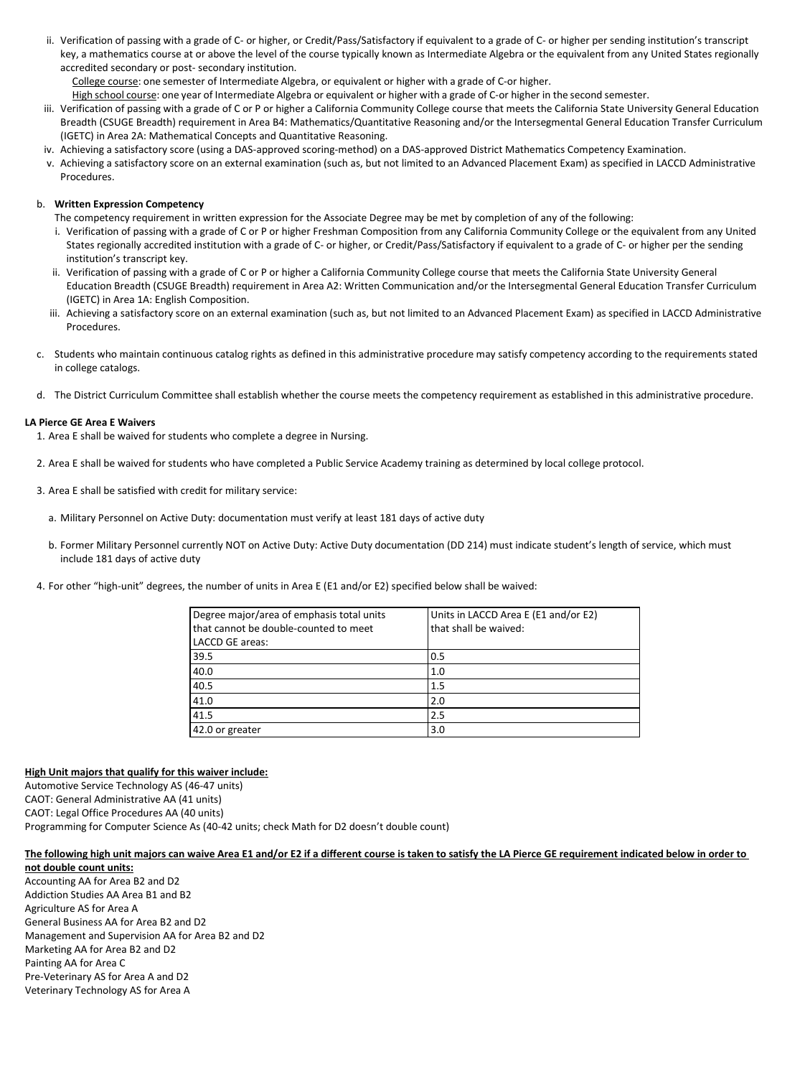ii. Verification of passing with a grade of C- or higher, or Credit/Pass/Satisfactory if equivalent to a grade of C- or higher per sending institution's transcript key, a mathematics course at or above the level of the course typically known as Intermediate Algebra or the equivalent from any United States regionally accredited secondary or post- secondary institution.

College course: one semester of Intermediate Algebra, or equivalent or higher with a grade of C-or higher.

High school course: one year of Intermediate Algebra or equivalent or higher with a grade of C-or higher in the second semester.

- iii. Verification of passing with a grade of C or P or higher a California Community College course that meets the California State University General Education Breadth (CSUGE Breadth) requirement in Area B4: Mathematics/Quantitative Reasoning and/or the Intersegmental General Education Transfer Curriculum (IGETC) in Area 2A: Mathematical Concepts and Quantitative Reasoning.
- iv. Achieving a satisfactory score (using a DAS-approved scoring-method) on a DAS-approved District Mathematics Competency Examination.
- v. Achieving a satisfactory score on an external examination (such as, but not limited to an Advanced Placement Exam) as specified in LACCD Administrative Procedures.

# b. **Written Expression Competency**

- The competency requirement in written expression for the Associate Degree may be met by completion of any of the following:
- i. Verification of passing with a grade of C or P or higher Freshman Composition from any California Community College or the equivalent from any United States regionally accredited institution with a grade of C- or higher, or Credit/Pass/Satisfactory if equivalent to a grade of C- or higher per the sending institution's transcript key.
- ii. Verification of passing with a grade of C or P or higher a California Community College course that meets the California State University General Education Breadth (CSUGE Breadth) requirement in Area A2: Written Communication and/or the Intersegmental General Education Transfer Curriculum (IGETC) in Area 1A: English Composition.
- iii. Achieving a satisfactory score on an external examination (such as, but not limited to an Advanced Placement Exam) as specified in LACCD Administrative Procedures.
- c. Students who maintain continuous catalog rights as defined in this administrative procedure may satisfy competency according to the requirements stated in college catalogs.
- d. The District Curriculum Committee shall establish whether the course meets the competency requirement as established in this administrative procedure.

# **LA Pierce GE Area E Waivers**

1. Area E shall be waived for students who complete a degree in Nursing.

- 2. Area E shall be waived for students who have completed a Public Service Academy training as determined by local college protocol.
- 3. Area E shall be satisfied with credit for military service:
	- a. Military Personnel on Active Duty: documentation must verify at least 181 days of active duty
	- b. Former Military Personnel currently NOT on Active Duty: Active Duty documentation (DD 214) must indicate student's length of service, which must include 181 days of active duty
- 4. For other "high-unit" degrees, the number of units in Area E (E1 and/or E2) specified below shall be waived:

| Degree major/area of emphasis total units | Units in LACCD Area E (E1 and/or E2) |
|-------------------------------------------|--------------------------------------|
| that cannot be double-counted to meet     | that shall be waived:                |
| LACCD GE areas:                           |                                      |
| 39.5                                      | 0.5                                  |
| 40.0                                      | 1.0                                  |
| 40.5                                      | 1.5                                  |
| 41.0                                      | 2.0                                  |
| 41.5                                      | 2.5                                  |
| 42.0 or greater                           | 3.0                                  |

#### **High Unit majors that qualify for this waiver include:**

Automotive Service Technology AS (46-47 units) CAOT: General Administrative AA (41 units) CAOT: Legal Office Procedures AA (40 units) Programming for Computer Science As (40-42 units; check Math for D2 doesn't double count)

#### **The following high unit majors can waive Area E1 and/or E2 if a different course is taken to satisfy the LA Pierce GE requirement indicated below in order to**

**not double count units:** Accounting AA for Area B2 and D2 Addiction Studies AA Area B1 and B2 Agriculture AS for Area A General Business AA for Area B2 and D2 Management and Supervision AA for Area B2 and D2 Marketing AA for Area B2 and D2 Painting AA for Area C Pre-Veterinary AS for Area A and D2 Veterinary Technology AS for Area A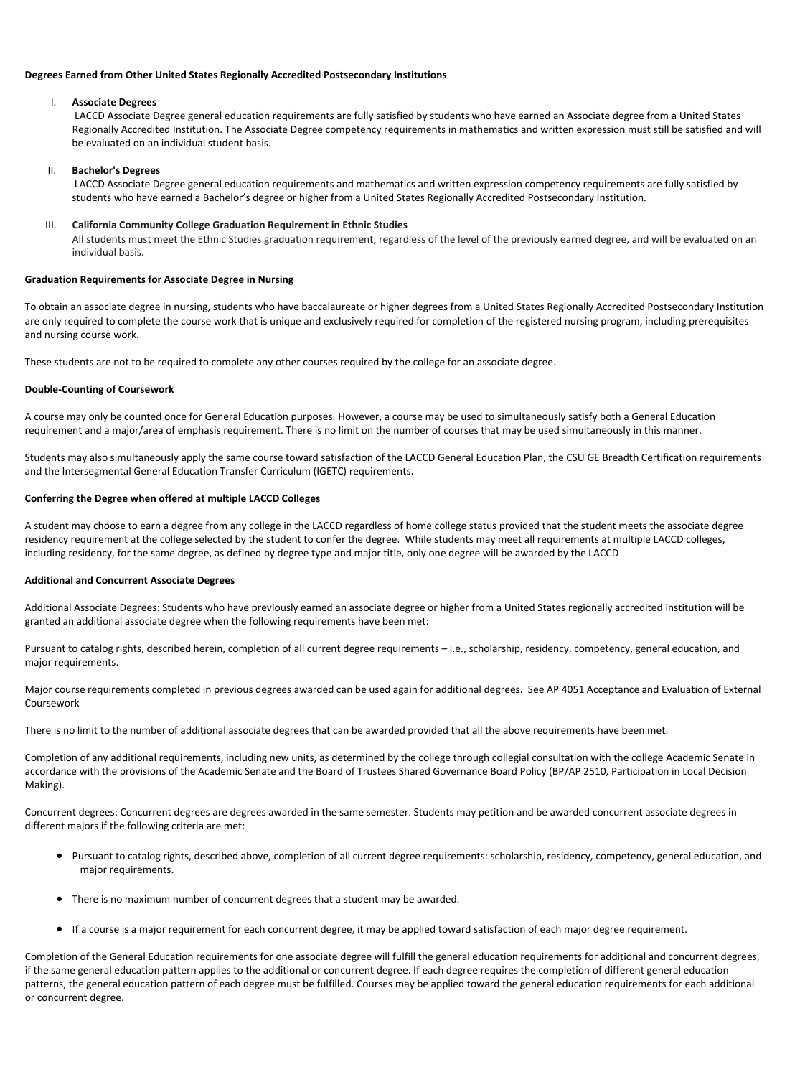#### **Degrees Earned from Other United States Regionally Accredited Postsecondary Institutions**

#### I. **Associate Degrees**

LACCD Associate Degree general education requirements are fully satisfied by students who have earned an Associate degree from a United States Regionally Accredited Institution. The Associate Degree competency requirements in mathematics and written expression must still be satisfied and will be evaluated on an individual student basis.

#### II. **Bachelor's Degrees**

LACCD Associate Degree general education requirements and mathematics and written expression competency requirements are fully satisfied by students who have earned a Bachelor's degree or higher from a United States Regionally Accredited Postsecondary Institution.

#### III. **California Community College Graduation Requirement in Ethnic Studies**

All students must meet the Ethnic Studies graduation requirement, regardless of the level of the previously earned degree, and will be evaluated on an individual basis.

# **Graduation Requirements for Associate Degree in Nursing**

To obtain an associate degree in nursing, students who have baccalaureate or higher degrees from a United States Regionally Accredited Postsecondary Institution are only required to complete the course work that is unique and exclusively required for completion of the registered nursing program, including prerequisites and nursing course work.

These students are not to be required to complete any other courses required by the college for an associate degree.

# **Double-Counting of Coursework**

A course may only be counted once for General Education purposes. However, a course may be used to simultaneously satisfy both a General Education requirement and a major/area of emphasis requirement. There is no limit on the number of courses that may be used simultaneously in this manner.

Students may also simultaneously apply the same course toward satisfaction of the LACCD General Education Plan, the CSU GE Breadth Certification requirements and the Intersegmental General Education Transfer Curriculum (IGETC) requirements.

#### **Conferring the Degree when offered at multiple LACCD Colleges**

A student may choose to earn a degree from any college in the LACCD regardless of home college status provided that the student meets the associate degree residency requirement at the college selected by the student to confer the degree. While students may meet all requirements at multiple LACCD colleges, including residency, for the same degree, as defined by degree type and major title, only one degree will be awarded by the LACCD

#### **Additional and Concurrent Associate Degrees**

Additional Associate Degrees: Students who have previously earned an associate degree or higher from a United States regionally accredited institution will be granted an additional associate degree when the following requirements have been met:

Pursuant to catalog rights, described herein, completion of all current degree requirements – i.e., scholarship, residency, competency, general education, and major requirements.

Major course requirements completed in previous degrees awarded can be used again for additional degrees. See AP 4051 Acceptance and Evaluation of External Coursework

There is no limit to the number of additional associate degrees that can be awarded provided that all the above requirements have been met.

Completion of any additional requirements, including new units, as determined by the college through collegial consultation with the college Academic Senate in accordance with the provisions of the Academic Senate and the Board of Trustees Shared Governance Board Policy (BP/AP 2510, Participation in Local Decision Making).

Concurrent degrees: Concurrent degrees are degrees awarded in the same semester. Students may petition and be awarded concurrent associate degrees in different majors if the following criteria are met:

- Pursuant to catalog rights, described above, completion of all current degree requirements: scholarship, residency, competency, general education, and major requirements.
- There is no maximum number of concurrent degrees that a student may be awarded.
- If a course is a major requirement for each concurrent degree, it may be applied toward satisfaction of each major degree requirement.

Completion of the General Education requirements for one associate degree will fulfill the general education requirements for additional and concurrent degrees, if the same general education pattern applies to the additional or concurrent degree. If each degree requires the completion of different general education patterns, the general education pattern of each degree must be fulfilled. Courses may be applied toward the general education requirements for each additional or concurrent degree.